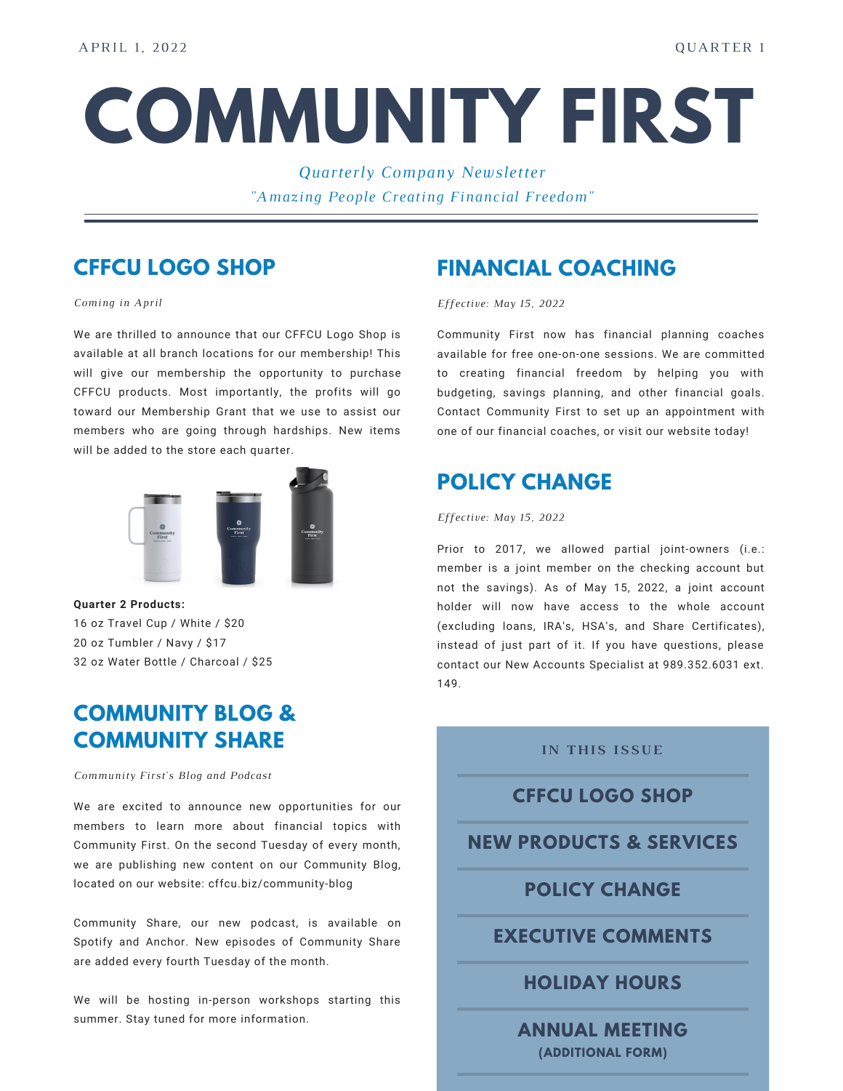# **COMMUNITY FIRST**

*Quarterly Company Newsletter "Amazing People Creating Financial Freedom"*

# **CFFCU LOGO SHOP**

*Coming in April*

We are thrilled to announce that our CFFCU Logo Shop is available at all branch locations for our membership! This will give our membership the opportunity to purchase CFFCU products. Most importantly, the profits will go toward our Membership Grant that we use to assist our members who are going through hardships. New items will be added to the store each quarter.



**Quarter 2 Products:** oz Travel Cup / White / \$20 oz Tumbler / Navy / \$17 oz Water Bottle / Charcoal / \$25

## **COMMUNITY BLOG & COMMUNITY SHARE**

*Community First's Blog and Podcast*

We are excited to announce new opportunities for our members to learn more about financial topics with Community First. On the second Tuesday of every month, we are publishing new content on our Community Blog, located on our website: cffcu.biz/community-blog

Community Share, our new podcast, is available on Spotify and Anchor. New episodes of Community Share are added every fourth Tuesday of the month.

We will be hosting in-person workshops starting this summer. Stay tuned for more information.

## **FINANCIAL COACHING**

*Effective: May 15, 2022*

Community First now has financial planning coaches available for free one-on-one sessions. We are committed to creating financial freedom by helping you with budgeting, savings planning, and other financial goals. Contact Community First to set up an appointment with one of our financial coaches, or visit our website today!

## **POLICY CHANGE**

#### *Effective: May 15, 2022*

Prior to 2017, we allowed partial joint-owners (i.e.: member is a joint member on the checking account but not the savings). As of May 15, 2022, a joint account holder will now have access to the whole account (excluding loans, IRA's, HSA's, and Share Certificates), instead of just part of it. If you have questions, please contact our New Accounts Specialist at 989.352.6031 ext. 149.

#### **IN THIS ISSUE**

## **CFFCU LOGO SHOP**

**NEW PRODUCTS & SERVICES**

## **POLICY CHANGE**

## **EXECUTIVE COMMENTS**

**HOLIDAY HOURS**

**ANNUAL MEETING (ADDITIONAL FORM)**